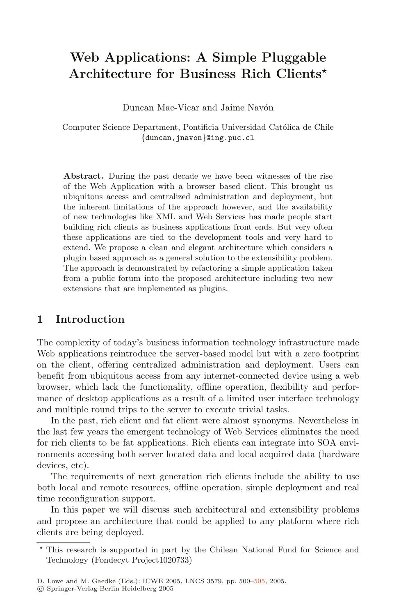# **Web Applications: A Simple Pluggable Architecture for Business Rich Clients**

Duncan Mac-Vicar and Jaime Navón

Computer Science Department, Pontificia Universidad Católica de Chile *{*duncan,jnavon*}*@ing.puc.cl

**Abstract.** During the past decade we have been witnesses of the rise of the Web Application with a browser based client. This brought us ubiquitous access and centralized administration and deployment, but the inherent limitations of the approach however, and the availability of new technologies like XML and Web Services has made people start building rich clients as business applications front ends. But very often these applications are tied to the development tools and very hard to extend. We propose a clean and elegant architecture which considers a plugin based approach as a general solution to the extensibility problem. The approach is demonstrated by refactoring a simple application taken from a public forum into the proposed architecture including two new extensions that are implemented as plugins.

# **1 Introduction**

The complexity of today's business information technology infrastructure made Web applications reintroduce the server-based model but with a zero footprint on the client, offering centralized administration and deployment. Users can benefit from ubiquitous access from any internet-connected device using a web browser, which lack the functionality, offline operation, flexibility and performance of desktop applications as a result of a limited user interface technology and multiple round trips to the server to execute trivial tasks.

In the past, rich client and fat client were almost synonyms. Nevertheless in the last few years the emergent technology of Web Services eliminates the need for rich clients to be fat applications. Rich clients can integrate into SOA environments accessing both server located data and local acquired data (hardware devices, etc).

The requirements of next generation rich clients include the ability to use both local and remote resources, offline operation, simple deployment and real time reconfiguration support.

In this paper we will discuss such architectural and extensibility problems and propose an architecture that could be applied to any platform where rich clients are being deployed.

<sup>\*</sup> This research is supported in part by the Chilean National Fund for Science and Technology (Fondecyt Project1020733)

D. Lowe and M. Gaedke (Eds.): ICWE 2005, LNCS 3579, pp. 50[0–505](#page-5-0), 2005.

c Springer-Verlag Berlin Heidelberg 2005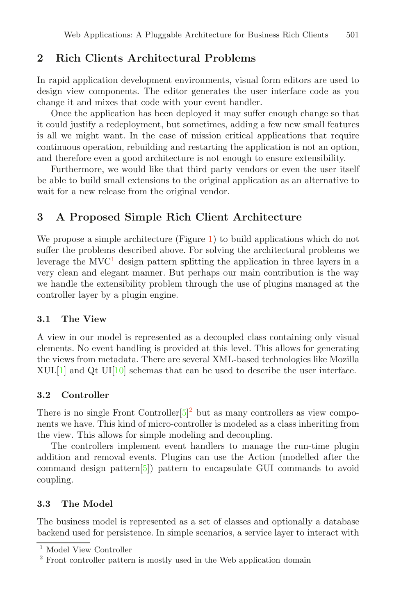# **2 Rich Clients Architectural Problems**

In rapid application development environments, visual form editors are used to design view components. The editor generates the user interface code as you change it and mixes that code with your event handler.

Once the application has been deployed it may suffer enough change so that it could justify a redeployment, but sometimes, adding a few new small features is all we might want. In the case of mission critical applications that require continuous operation, rebuilding and restarting the application is not an option, and therefore even a good architecture is not enough to ensure extensibility.

Furthermore, we would like that third party vendors or even the user itself be able to build small extensions to the original application as an alternative to wait for a new release from the original vendor.

# **3 A Proposed Simple Rich Client Architecture**

W[e](#page-2-0) propose a simple architecture (Figure 1) to build applications which do not suffer the problems described above. For solving the architectural problems we leverage the  $MVC<sup>1</sup>$  $MVC<sup>1</sup>$  $MVC<sup>1</sup>$  design pattern splitting the application in three layers in a very clean and elegant manner. But perhaps our main contribution is the way we handle the extensibility problem through the use of plugins managed at the controller layer by a plugin engine.

#### **3.1 The View**

A view in our model is represented as a decoupled class containing only visual elements. No event handling is provided at this level. This allows for generating the views from metadata. There are several XML-based technologies like Mozilla  $XUL[1]$  $XUL[1]$  $XUL[1]$  and Qt U[I\[1](#page-5-2)0] schemas that can be used to describe the user interface.

#### **3.2 Controller**

There is no single Front Controller  $[5]^2$  $[5]^2$  $[5]^2$  but as many controllers as view components we have. This kind of micro-controller is modeled as a class inheriting from the view. This allows for simple modeling and decoupling.

The controllers implement event handlers to manage the run-time plugin addition and removal events. Plugins can use the Action (modelled after the command design patter[n\[5](#page-5-3)]) pattern to encapsulate GUI commands to avoid coupling.

#### **3.3 The Model**

The business model is represented as a set of classes and optionally a database backend used for persistence. In simple scenarios, a service layer to interact with

<span id="page-1-0"></span>Model View Controller

<span id="page-1-1"></span><sup>2</sup> Front controller pattern is mostly used in the Web application domain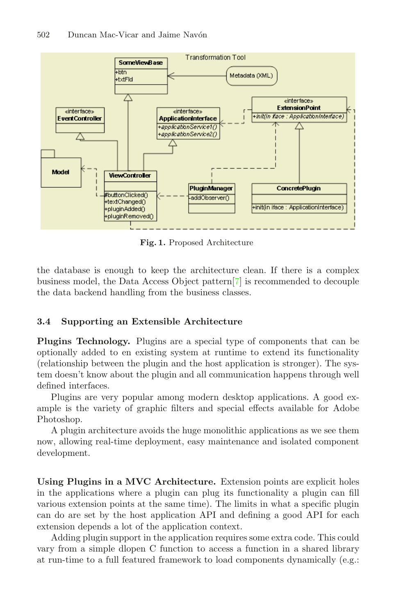

<span id="page-2-0"></span>**Fig. 1.** Proposed Architecture

the database is enough to keep the architecture clean. If there is a complex business model, the Data Access Object patter[n\[](#page-5-4)7] is recommended to decouple the data backend handling from the business classes.

#### **3.4 Supporting an Extensible Architecture**

**Plugins Technology.** Plugins are a special type of components that can be optionally added to en existing system at runtime to extend its functionality (relationship between the plugin and the host application is stronger). The system doesn't know about the plugin and all communication happens through well defined interfaces.

Plugins are very popular among modern desktop applications. A good example is the variety of graphic filters and special effects available for Adobe Photoshop.

A plugin architecture avoids the huge monolithic applications as we see them now, allowing real-time deployment, easy maintenance and isolated component development.

**Using Plugins in a MVC Architecture.** Extension points are explicit holes in the applications where a plugin can plug its functionality a plugin can fill various extension points at the same time). The limits in what a specific plugin can do are set by the host application API and defining a good API for each extension depends a lot of the application context.

Adding plugin support in the application requires some extra code. This could vary from a simple dlopen C function to access a function in a shared library at run-time to a full featured framework to load components dynamically (e.g.: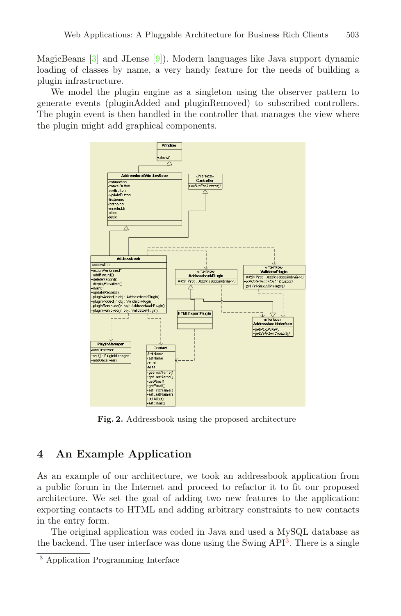MagicBeans [\[3](#page-5-5)] and JLense [\[9](#page-5-6)]). Modern languages like Java support dynamic loading of classes by name, a very handy feature for the needs of building a plugin infrastructure.

We model the plugin engine as a singleton using the observer pattern to generate events (pluginAdded and pluginRemoved) to subscribed controllers. The plugin event is then handled in the controller that manages the view where the plugin might add graphical components.



**Fig. 2.** Addressbook using the proposed architecture

# <span id="page-3-1"></span>**4 An Example Application**

As an example of our architecture, we took an addressbook application from a public forum in the Internet and proceed to refactor it to fit our proposed architecture. We set the goal of adding two new features to the application: exporting contacts to HTML and adding arbitrary constraints to new contacts in the entry form.

The original application was coded in Java and used a MySQL database as the backend. The user interface was done using the Swing  $API<sup>3</sup>$  $API<sup>3</sup>$  $API<sup>3</sup>$ . There is a single

<span id="page-3-0"></span><sup>3</sup> Application Programming Interface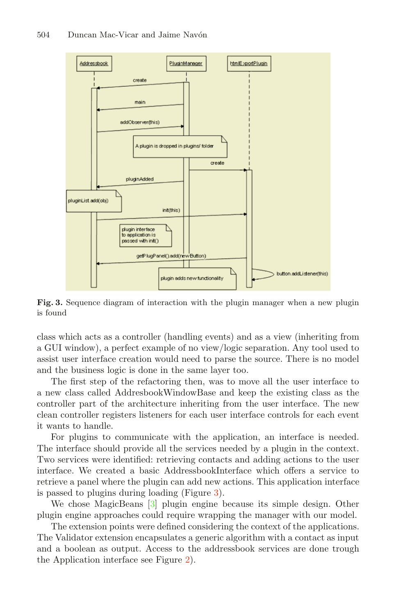

<span id="page-4-0"></span>**Fig. 3.** Sequence diagram of interaction with the plugin manager when a new plugin is found

class which acts as a controller (handling events) and as a view (inheriting from a GUI window), a perfect example of no view/logic separation. Any tool used to assist user interface creation would need to parse the source. There is no model and the business logic is done in the same layer too.

The first step of the refactoring then, was to move all the user interface to a new class called AddresbookWindowBase and keep the existing class as the controller part of the architecture inheriting from the user interface. The new clean controller registers listeners for each user interface controls for each event it wants to handle.

For plugins to communicate with the application, an interface is needed. The interface should provide all the services needed by a plugin in the context. Two services were identified: retrieving contacts and adding actions to the user interface. We created a basic AddressbookInterface which offers a service to retrieve a panel where the plugin can add new actions. This application interface is passed to plugins during loading (Figur[e](#page-4-0) 3).

We chose MagicBeans [\[3](#page-5-5)] plugin engine because its simple design. Other plugin engine approaches could require wrapping the manager with our model.

The extension points were defined considering the context of the applications. The Validator extension encapsulates a generic algorithm with a contact as input and a boolean as output. Access to the addressbook services are done trough the Application interface see Figur[e](#page-3-1) 2).